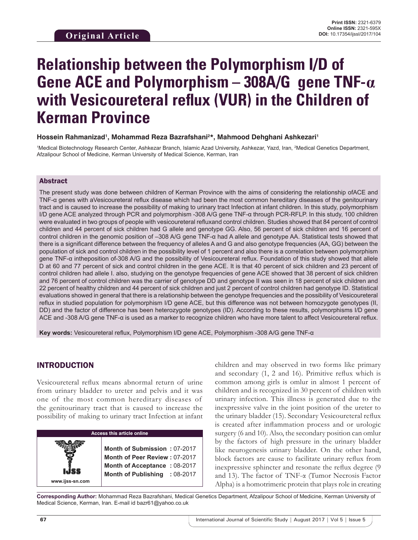# **Relationship between the Polymorphism I/D of Gene ACE and Polymorphism – 308A/G gene TNF-α with Vesicoureteral reflux (VUR) in the Children of Kerman Province**

#### **Hossein Rahmanizad1 , Mohammad Reza Bazrafshani2 \*, Mahmood Dehghani Ashkezari1**

1 Medical Biotechnology Research Center, Ashkezar Branch, Islamic Azad University, Ashkezar, Yazd, Iran, 2 Medical Genetics Department, Afzalipour School of Medicine, Kerman University of Medical Science, Kerman, Iran

#### Abstract

The present study was done between children of Kerman Province with the aims of considering the relationship ofACE and TNF-α genes with aVesicoureteral reflux disease which had been the most common hereditary diseases of the genitourinary tract and is caused to increase the possibility of making to urinary tract Infection at infant children. In this study, polymorphism I/D gene ACE analyzed through PCR and polymorphism -308 A/G gene TNF-α through PCR-RFLP. In this study, 100 children were evaluated in two groups of people with vesicoureteral refluxand control children. Studies showed that 84 percent of control children and 44 percent of sick children had G allele and genotype GG. Also, 56 percent of sick children and 16 percent of control children in the genomic position of –308 A/G gene TNF-α had A allele and genotype AA. Statistical tests showed that there is a significant difference between the frequency of alleles A and G and also genotype frequencies (AA, GG) between the population of sick and control children in the possibility level of 1 percent and also there is a correlation between polymorphism gene TNF-α intheposition of-308 A/G and the possibility of Vesicoureteral reflux. Foundation of this study showed that allele D at 60 and 77 percent of sick and control children in the gene ACE. It is that 40 percent of sick children and 23 percent of control children had allele I. also, studying on the genotype frequencies of gene ACE showed that 38 percent of sick children and 76 percent of control children was the carrier of genotype DD and genotype II was seen in 18 percent of sick children and 22 percent of healthy children and 44 percent of sick children and just 2 percent of control children had genotype ID. Statistical evaluations showed in general that there is a relationship between the genotype frequencies and the possibility of Vesicoureteral reflux in studied population for polymorphism I/D gene ACE, but this difference was not between homozygote genotypes (II, DD) and the factor of difference has been heterozygote genotypes (ID). According to these results, polymorphisms I/D gene ACE and -308 A/G gene TNF-α is used as a marker to recognize children who have more talent to affect Vesicoureteral reflux.

**Key words:** Vesicoureteral reflux, Polymorphism I/D gene ACE, Polymorphism -308 A/G gene TNF-α

## INTRODUCTION

**www.ijss-sn.com**

Vesicoureteral reflux means abnormal return of urine from urinary bladder to ureter and pelvis and it was one of the most common hereditary diseases of the genitourinary tract that is caused to increase the possibility of making to urinary tract Infection at infant

#### **Access this article online**

**Month of Submission :** 07-2017 **Month of Peer Review :** 07-2017 **Month of Acceptance :** 08-2017 **Month of Publishing :** 08-2017 children and may observed in two forms like primary and secondary (1, 2 and 16). Primitive reflux which is common among girls is omlur in almost 1 percent of children and is recognized in 30 percent of children with urinary infection. This illness is generated due to the inexpressive valve in the joint position of the ureter to the urinary bladder (15). Secondary Vesicoureteral reflux is created after inflammation process and or urologic surgery (6 and 10). Also, the secondary position can omlur by the factors of high pressure in the urinary bladder like neurogenesis urinary bladder. On the other hand, block factors are cause to facilitate urinary reflux from inexpressive sphincter and resonate the reflux degree (9 and 13). The factor of TNF-α (Tumor Necrosis Factor Alpha) is a homotrimeric protein that plays role in creating

**Corresponding Author:** Mohammad Reza Bazrafshani, Medical Genetics Department, Afzalipour School of Medicine, Kerman University of Medical Science, Kerman, Iran. E-mail id bazr61@yahoo.co.uk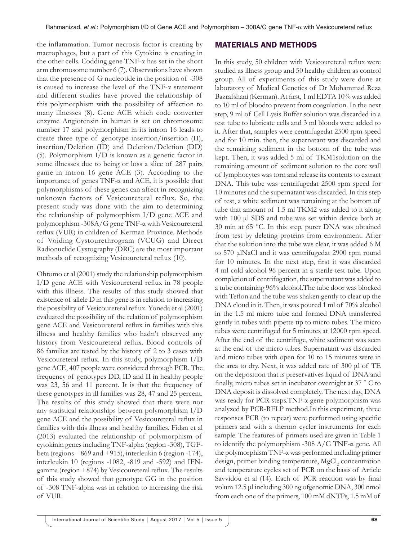the inflammation. Tumor necrosis factor is creating by macrophages, but a part of this Cytokine is creating in the other cells. Codding gene TNF-α has set in the short arm chromosome number 6 (7). Observations have shown that the presence of G nucleotide in the position of -308 is caused to increase the level of the TNF-α statement and different studies have proved the relationship of this polymorphism with the possibility of affection to many illnesses (8). Gene ACE which code converter enzyme Angiotensin in human is set on chromosome number 17 and polymorphism in its intron 16 leads to create three type of genotype insertion/insertion (II), insertion/Deletion (ID) and Deletion/Deletion (DD) (5). Polymorphism I/D is known as a genetic factor in some illnesses due to being or loss a slice of 287 pairs game in intron 16 gene ACE (3). According to the importance of genes TNF-α and ACE, it is possible that polymorphisms of these genes can affect in recognizing unknown factors of Vesicoureteral reflux. So, the present study was done with the aim to determining the relationship of polymorphism I/D gene ACE and polymorphism -308A/G gene TNF-α with Vesicoureteral reflux (VUR) in children of Kerman Province. Methods of Voiding Cystourethrogram (VCUG) and Direct Radionuclide Cystography (DRC) are the most important methods of recognizing Vesicoureteral reflux (10).

Ohtomo et al (2001) study the relationship polymorphism I/D gene ACE with Vesicoureteral reflux in 78 people with this illness. The results of this study showed that existence of allele D in this gene is in relation to increasing the possibility of Vesicoureteral reflux. Yoneda et al (2001) evaluated the possibility of the relation of polymorphism gene ACE and Vesicoureteral reflux in families with this illness and healthy families who hadn't observed any history from Vesicoureteral reflux. Blood controls of 86 families are tested by the history of 2 to 3 cases with Vesicoureteral reflux. In this study, polymorphism I/D gene ACE, 407 people were considered through PCR. The frequency of genotypes DD, ID and II in healthy people was 23, 56 and 11 percent. It is that the frequency of these genotypes in ill families was 28, 47 and 25 percent. The results of this study showed that there were not any statistical relationships between polymorphism I/D gene ACE and the possibility of Vesicoureteral reflux in families with this illness and healthy families. Fidan et al (2013) evaluated the relationship of polymorphism of cytokinin genes including TNF-alpha (region -308), TGFbeta (regions +869 and +915), interleukin 6 (region -174), interleukin 10 (regions -1082, -819 and -592) and IFNgamma (region +874) by Vesicoureteral reflux. The results of this study showed that genotype GG in the position of -308 TNF-alpha was in relation to increasing the risk of VUR.

#### MATERIALS AND METHODS

In this study, 50 children with Vesicoureteral reflux were studied as illness group and 50 healthy children as control group. All of experiments of this study were done at laboratory of Medical Genetics of Dr Mohammad Reza Bazrafshani (Kerman). At first, 1 ml EDTA 10% was added to 10 ml of bloodto prevent from coagulation. In the next step, 9 ml of Cell Lysis Buffer solution was discarded in a test tube to lubricate cells and 3 ml bloods were added to it. After that, samples were centrifugedat 2500 rpm speed and for 10 min. then, the supernatant was discarded and the remaining sediment in the bottom of the tube was kept. Then, it was added 5 ml of TKM1solution on the remaining amount of sediment solution to the core wall of lymphocytes was torn and release its contents to extract DNA. This tube was centrifugedat 2500 rpm speed for 10 minutes and the supernatant was discarded. In this step of test, a white sediment was remaining at the bottom of tube that amount of 1.5 ml TKM2 was added to it along with 100 μl SDS and tube was set within device bath at 30 min at 65 °C. In this step, purer DNA was obtained from test by deleting proteins from environment. After that the solution into the tube was clear, it was added 6 M to 570 μlNaCl and it was centrifugedat 2900 rpm round for 10 minutes. In the next step, first it was discarded 4 ml cold alcohol 96 percent in a sterile test tube. Upon completion of centrifugation, the supernatant was added to a tube containing 96% alcohol.The tube door was blocked with Teflon and the tube was shaken gently to clear up the DNA cloud in it. Then, it was poured 1 ml of 70% alcohol in the 1.5 ml micro tube and formed DNA transferred gently in tubes with pipette tip to micro tubes. The micro tubes were centrifuged for 5 minutes at 12000 rpm speed. After the end of the centrifuge, white sediment was seen at the end of the micro tubes. Supernatant was discarded and micro tubes with open for 10 to 15 minutes were in the area to dry. Next, it was added rate of 300 μl of TE on the deposition that is preservatives liquid of DNA and finally, micro tubes set in incubator overnight at 37 ° C to DNA deposit is dissolved completely. The next day, DNA was ready for PCR steps.TNF-α gene polymorphism was analyzed by PCR-RFLP method.In this experiment, three responses PCR (to repeat) were performed using specific primers and with a thermo cycler instruments for each sample. The features of primers used are given in Table 1 to identify the polymorphism -308 A/G TNF-α gene. All the polymorphism TNF-α was performed including primer design, primer binding temperature, MgCl<sub>2</sub> concentration and temperature cycles set of PCR on the basis of Article Savvidou et al (14). Each of PCR reaction was by final volum 12.5 μl including 300 ng ofgenomic DNA, 300 nmol from each one of the primers, 100 mM dNTPs, 1.5 mM of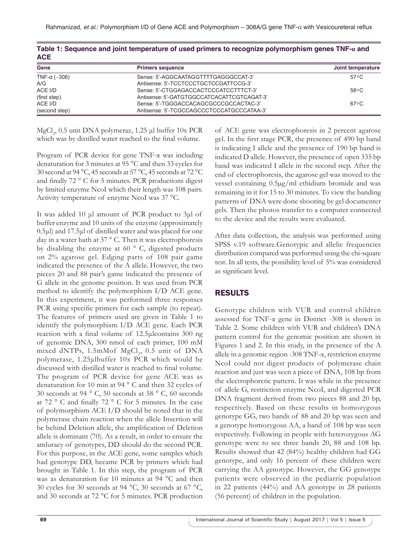| <b>ACE</b>           |                                            |                   |
|----------------------|--------------------------------------------|-------------------|
| Gene                 | <b>Primers sequence</b>                    | Joint temperature |
| TNF- $\alpha$ (-308) | Sense: 5'-AGGCAATAGGTTTTGAGGGCCAT-3'       | 57 ° C            |
| A/G                  | Antisense: 5'-TCCTCCCTGCTCCGATTCCG-3'      |                   |
| ACE I/D              | Sense: 5'-CTGGAGACCACTCCCATCCTTTCT-3'      | $58^{\circ}$ C    |
| (first step)         | Antisense: 5'-GATGTGGCCATCACATTCGTCAGAT-3' |                   |
| ACE I/D              | Sense: 5'-TGGGACCACAGCGCCCGCCACTAC-3'      | $67^{\circ}$ C    |
| (second step)        | Antisense: 5'-TCGCCAGCCCTCCCATGCCCATAA-3'  |                   |

|              | Table 1: Sequence and joint temperature of used primers to recognize polymorphism genes TNF- $\bm{a}$ and |  |  |
|--------------|-----------------------------------------------------------------------------------------------------------|--|--|
| $\mathbf{A}$ |                                                                                                           |  |  |

MgCl<sub>2</sub>, 0.5 unit DNA polymeraz, 1.25 μl buffer 10x PCR which was by distilled water reached to the final volume.

Program of PCR device for gene TNF-α was including denaturation for 3 minutes at 95 °C and then 33 cycles for 30 second at 94 °C, 45 seconds at 57 °C, 45 seconds at 72 °C and finally 72 ° C for 5 minutes. PCR productions digest by limited enzyme NcoI which their length was 108 pairs. Activity temperature of enzyme NcoI was 37 °C.

It was added 10 μl amount of PCR product to 3μl of buffer enzyme and 10 units of the enzyme (approximately 0.5μl) and 17.5μl of distilled water and was placed for one day in a water bath at 37 ° C. Then it was electrophoresis by disabling the enzyme at 60 ° C, digested products on 2% agarose gel. Edging parts of 108 pair game indicated the presence of the A allele. However, the two pieces 20 and 88 pair's game indicated the presence of G allele in the genome position. It was used from PCR method to identify the polymorphism I/D ACE gene. In this experiment, it was performed three responses PCR using specific primers for each sample (to repeat). The features of primers used are given in Table 1 to identify the polymorphism I/D ACE gene. Each PCR reaction with a final volume of 12.5μlcontains 300 ng of genomic DNA, 300 nmol of each primer, 100 mM mixed dNTPs, 1.5mMof  $MgCl<sub>2</sub>$ , 0.5 unit of DNA polymerase, 1.25μlbuffer 10x PCR which would be discussed with distilled water is reached to final volume. The program of PCR device for gene ACE was as denaturation for 10 min at 94 ° C and then 32 cycles of 30 seconds at 94 ° C, 50 seconds at 58 ° C, 60 seconds at 72 ° C and finally 72 ° C for 5 minutes. In the case of polymorphism ACE I/D should be noted that in the polymerase chain reaction when the allele Insertion will be behind Deletion allele, the amplification of Deletion allele is dominant (70). As a result, in order to ensure the amluracy of genotypes, DD should do the second PCR. For this purpose, in the ACE gene, some samples which had genotype DD, became PCR by primers which had brought in Table 1. In this step, the program of PCR was as denaturation for 10 minutes at 94 °C and then 30 cycles for 30 seconds at 94 °C, 30 seconds at 67 °C, and 30 seconds at 72 °C for 5 minutes. PCR production

of ACE gene was electrophoresis in 2 percent agarose gel. In the first stage PCR, the presence of 490 bp band is indicating I allele and the presence of 190 bp band is indicated D allele. However, the presence of open 335 bp band was indicated I allele in the second step. After the end of electrophoresis, the agarose gel was moved to the vessel containing 0.5µg/ml ethidium bromide and was remaining in it for 15 to 30 minutes. To view the banding patterns of DNA were done shooting by gel documenter gels. Then the photos transfer to a computer connected to the device and the results were evaluated.

After data collection, the analysis was performed using SPSS v.19 software.Genotypic and allelic frequencies distribution compared was performed using the chi-square test. In all tests, the possibility level of 5% was considered as significant level.

## RESULTS

Genotype children with VUR and control children assessed for TNF-α gene in District -308 is shown in Table 2. Some children with VUR and children's DNA pattern control for the genomic position are shown in Figures 1 and 2. In this study, in the presence of the A allele in a genomic region -308 TNF-α, restriction enzyme NcoI could not digest products of polymerase chain reaction and just was seen a piece of DNA, 108 bp from the electrophoretic pattern. It was while in the presence of allele G, restriction enzyme NcoI, and digested PCR DNA fragment derived from two pieces 88 and 20 bp, respectively. Based on these results in homozygous genotype GG, two bands of 88 and 20 bp was seen and a genotype homozygous AA, a band of 108 bp was seen respectively. Following in people with heterozygous AG genotype were to see three bands 20, 88 and 108 bp. Results showed that 42 (84%) healthy children had GG genotype, and only 16 percent of these children were carrying the AA genotype. However, the GG genotype patients were observed in the pediatric population in 22 patients (44%) and AA genotype in 28 patients (56 percent) of children in the population.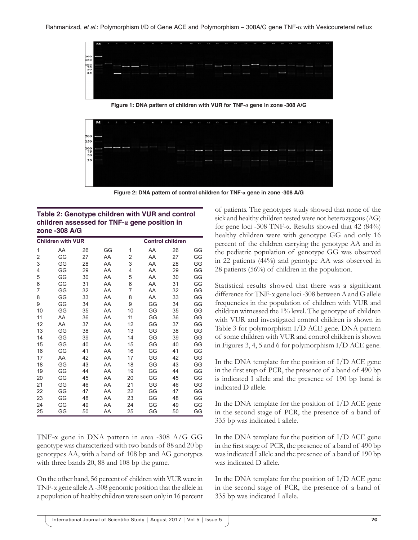

**Figure 1: DNA pattern of children with VUR for TNF-α gene in zone -308 A/G**



**Figure 2: DNA pattern of control children for TNF-α gene in zone -308 A/G**

#### **Table 2: Genotype children with VUR and control children assessed for TNF‑α gene position in zone ‑308 A/G**

|                | <b>Children with VUR</b> |    |    |    |    | <b>Control children</b> |    |
|----------------|--------------------------|----|----|----|----|-------------------------|----|
| $\overline{1}$ | AA                       | 26 | GG | 1  | AA | 26                      | GG |
| 2              | GG                       | 27 | AA | 2  | AA | 27                      | GG |
| 3              | GG                       | 28 | AA | 3  | AA | 28                      | GG |
| 4              | GG                       | 29 | AA | 4  | AA | 29                      | GG |
| 5              | GG                       | 30 | AA | 5  | AA | 30                      | GG |
| 6              | GG                       | 31 | AA | 6  | AA | 31                      | GG |
| 7              | GG                       | 32 | AA | 7  | AA | 32                      | GG |
| 8              | GG                       | 33 | AA | 8  | AA | 33                      | GG |
| 9              | GG                       | 34 | AA | 9  | GG | 34                      | GG |
| 10             | GG                       | 35 | AA | 10 | GG | 35                      | GG |
| 11             | AA                       | 36 | AA | 11 | GG | 36                      | GG |
| 12             | AA                       | 37 | AA | 12 | GG | 37                      | GG |
| 13             | GG                       | 38 | AA | 13 | GG | 38                      | GG |
| 14             | GG                       | 39 | AA | 14 | GG | 39                      | GG |
| 15             | GG                       | 40 | AA | 15 | GG | 40                      | GG |
| 16             | GG                       | 41 | AA | 16 | GG | 41                      | GG |
| 17             | AA                       | 42 | AA | 17 | GG | 42                      | GG |
| 18             | GG                       | 43 | AA | 18 | GG | 43                      | GG |
| 19             | GG                       | 44 | AA | 19 | GG | 44                      | GG |
| 20             | GG                       | 45 | AA | 20 | GG | 45                      | GG |
| 21             | GG                       | 46 | AA | 21 | GG | 46                      | GG |
| 22             | GG                       | 47 | AA | 22 | GG | 47                      | GG |
| 23             | GG                       | 48 | AA | 23 | GG | 48                      | GG |
| 24             | GG                       | 49 | AA | 24 | GG | 49                      | GG |
| 25             | GG                       | 50 | AA | 25 | GG | 50                      | GG |

TNF-α gene in DNA pattern in area -308 A/G GG genotype was characterized with two bands of 88 and 20 bp genotypes AA, with a band of 108 bp and AG genotypes with three bands 20, 88 and 108 bp the game.

On the other hand, 56 percent of children with VUR were in TNF-α gene allele A -308 genomic position that the allele in a population of healthy children were seen only in 16 percent of patients. The genotypes study showed that none of the sick and healthy children tested were not heterozygous (AG) for gene loci -308 TNF- $\alpha$ . Results showed that 42 (84%) healthy children were with genotype GG and only 16 percent of the children carrying the genotype AA and in the pediatric population of genotype GG was observed in 22 patients (44%) and genotype AA was observed in 28 patients (56%) of children in the population.

Statistical results showed that there was a significant difference for TNF-α gene loci -308 between A and G allele frequencies in the population of children with VUR and children witnessed the 1% level. The genotype of children with VUR and investigated control children is shown in Table 3 for polymorphism I/D ACE gene. DNA pattern of some children with VUR and control children is shown in Figures 3, 4, 5 and 6 for polymorphism I/D ACE gene.

In the DNA template for the position of I/D ACE gene in the first step of PCR, the presence of a band of 490 bp is indicated I allele and the presence of 190 bp band is indicated D allele.

In the DNA template for the position of I/D ACE gene in the second stage of PCR, the presence of a band of 335 bp was indicated I allele.

In the DNA template for the position of I/D ACE gene in the first stage of PCR, the presence of a band of 490 bp was indicated I allele and the presence of a band of 190 bp was indicated D allele.

In the DNA template for the position of I/D ACE gene in the second stage of PCR, the presence of a band of 335 bp was indicated I allele.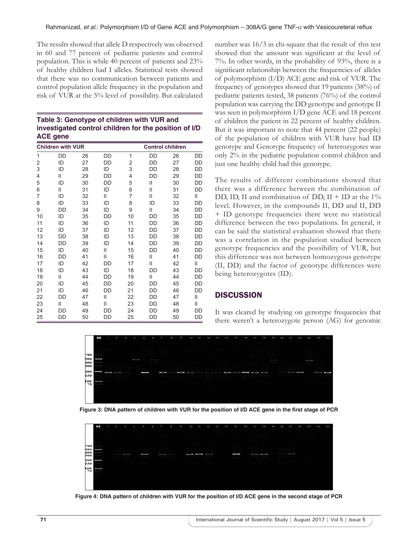The results showed that allele D respectively was observed in 60 and 77 percent of pediatric patients and control population. This is while 40 percent of patients and 23% of healthy children had I alleles. Statistical tests showed that there was no communication between patients and control population allele frequency in the population and risk of VUR at the 5% level of possibility. But calculated

| Table 3: Genotype of children with VUR and            |
|-------------------------------------------------------|
| investigated control children for the position of I/D |
| ACE gene                                              |

|    | <b>Children with VUR</b> |    |               |    |    | <b>Control children</b> |    |
|----|--------------------------|----|---------------|----|----|-------------------------|----|
| 1  | DD                       | 26 | DD            | 1  | DD | 26                      | DD |
| 2  | ID                       | 27 | DD            | 2  | DD | 27                      | DD |
| 3  | ID                       | 28 | ID            | 3  | DD | 28                      | DD |
| 4  | Ш                        | 29 | DD            | 4  | DD | 29                      | DD |
| 5  | ID                       | 30 | DD            | 5  | Ш  | 30                      | DD |
| 6  | Ш                        | 31 | ID            | 6  | Ш  | 31                      | DD |
| 7  | ID                       | 32 | $\mathsf{II}$ | 7  | Ш  | 32                      | Ш  |
| 8  | ID                       | 33 | ID            | 8  | ID | 33                      | DD |
| 9  | DD                       | 34 | ID            | 9  | Ш  | 34                      | DD |
| 10 | ID                       | 35 | DD            | 10 | DD | 35                      | DD |
| 11 | ID                       | 36 | ID            | 11 | DD | 36                      | DD |
| 12 | ID                       | 37 | ID            | 12 | DD | 37                      | DD |
| 13 | DD                       | 38 | ID            | 13 | DD | 38                      | DD |
| 14 | DD                       | 39 | ID            | 14 | DD | 39                      | DD |
| 15 | ID                       | 40 | Ш             | 15 | DD | 40                      | DD |
| 16 | DD                       | 41 | $\mathsf{II}$ | 16 | Ш  | 41                      | DD |
| 17 | ID                       | 42 | DD            | 17 | Ш  | 42                      | Ш  |
| 18 | ID                       | 43 | ID            | 18 | DD | 43                      | DD |
| 19 | Ш                        | 44 | DD            | 19 | Ш  | 44                      | DD |
| 20 | ID                       | 45 | DD            | 20 | DD | 45                      | DD |
| 21 | ID                       | 46 | DD            | 21 | DD | 46                      | DD |
| 22 | DD                       | 47 | $\mathsf{II}$ | 22 | DD | 47                      | Ш  |
| 23 | Ш                        | 48 | $\mathsf{II}$ | 23 | DD | 48                      | Ш  |
| 24 | DD                       | 49 | DD            | 24 | DD | 49                      | DD |
| 25 | DD                       | 50 | DD            | 25 | DD | 50                      | DD |

number was 16/3 in chi-square that the result of this test showed that the amount was significant at the level of 7%. In other words, in the probability of 93%, there is a significant relationship between the frequencies of alleles of polymorphism (I/D) ACE gene and risk of VUR. The frequency of genotypes showed that 19 patients (38%) of pediatric patients tested, 38 patients (76%) of the control population was carrying the DD genotype and genotype II was seen in polymorphism I/D gene ACE and 18 percent of children the patient in 22 percent of healthy children. But it was important to note that 44 percent (22 people) of the population of children with VUR have had ID genotype and Genotype frequency of heterozygotes was only 2% in the pediatric population control children and just one healthy child had this genotype.

The results of different combinations showed that there was a difference between the combination of DD, ID, II and combination of DD,  $II + ID$  at the 1% level. However, in the compounds II, DD and II, DD + ID genotype frequencies there were no statistical difference between the two populations. In general, it can be said the statistical evaluation showed that there was a correlation in the population studied between genotype frequencies and the possibility of VUR, but this difference was not between homozygous genotype (II, DD) and the factor of genotype differences were being heterozygotes (ID).

## **DISCUSSION**

It was cleared by studying on genotype frequencies that there weren't a heterozygote person (AG) for genomic



Figure 3: DNA pattern of children with VUR for the position of I/D ACE gene in the first stage of PCR

| 700<br>l<br>$500$ $\blacksquare$<br>400<br>300<br>$\frac{1}{2} \left( \frac{1}{2} \right) \left( \frac{1}{2} \right) \left( \frac{1}{2} \right) \left( \frac{1}{2} \right) \left( \frac{1}{2} \right) \left( \frac{1}{2} \right) \left( \frac{1}{2} \right) \left( \frac{1}{2} \right) \left( \frac{1}{2} \right) \left( \frac{1}{2} \right) \left( \frac{1}{2} \right) \left( \frac{1}{2} \right) \left( \frac{1}{2} \right) \left( \frac{1}{2} \right) \left( \frac{1}{2} \right) \left( \frac{1}{2} \right) \left( \frac$<br>--<br>$\overline{\phantom{a}}$<br>$\overline{\phantom{a}}$<br>-<br>200<br>_<br>150<br>i.<br>$\frac{100}{75}$ |  | M | P. | $\overline{\mathbf{z}}$ | $\overline{\mathbf{3}}$ | $\mathbf{H}$ | 6 | $\sigma$ | $\overline{z}$ | $\mathbf{a}$ | $\circ$ | 10 | 11 | 12 | 13 | 14 | 15 | 16 | 17 | 18 | 19 | 20 <sub>o</sub> | 21 | 22 | 23 | 2.4 | 25 |
|----------------------------------------------------------------------------------------------------------------------------------------------------------------------------------------------------------------------------------------------------------------------------------------------------------------------------------------------------------------------------------------------------------------------------------------------------------------------------------------------------------------------------------------------------------------------------------------------------------------------------------------------|--|---|----|-------------------------|-------------------------|--------------|---|----------|----------------|--------------|---------|----|----|----|----|----|----|----|----|----|----|-----------------|----|----|----|-----|----|
|                                                                                                                                                                                                                                                                                                                                                                                                                                                                                                                                                                                                                                              |  |   |    |                         |                         |              |   |          |                |              |         |    |    |    |    |    |    |    |    |    |    |                 |    |    |    |     |    |

Figure 4: DNA pattern of children with VUR for the position of I/D ACE gene in the second stage of PCR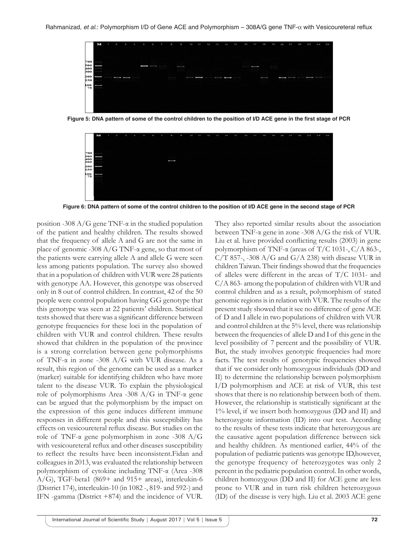

Figure 5: DNA pattern of some of the control children to the position of I/D ACE gene in the first stage of PCR



Figure 6: DNA pattern of some of the control children to the position of I/D ACE gene in the second stage of PCR

position -308  $A/G$  gene TNF- $\alpha$  in the studied population of the patient and healthy children. The results showed that the frequency of allele A and G are not the same in place of genomic -308 A/G TNF-α gene, so that most of the patients were carrying allele A and allele G were seen less among patients population. The survey also showed that in a population of children with VUR were 28 patients with genotype AA. However, this genotype was observed only in 8 out of control children. In contrast, 42 of the 50 people were control population having GG genotype that this genotype was seen at 22 patients' children. Statistical tests showed that there was a significant difference between genotype frequencies for these loci in the population of children with VUR and control children. These results showed that children in the population of the province is a strong correlation between gene polymorphisms of TNF-α in zone -308 A/G with VUR disease. As a result, this region of the genome can be used as a marker (marker) suitable for identifying children who have more talent to the disease VUR. To explain the physiological role of polymorphisms Area -308 A/G in TNF-α gene can be argued that the polymorphism by the impact on the expression of this gene induces different immune responses in different people and this susceptibility has effects on vesicoureteral reflux disease. But studies on the role of TNF-α gene polymorphism in zone -308 A/G with vesicoureteral reflux and other diseases susceptibility to reflect the results have been inconsistent.Fidan and colleagues in 2013, was evaluated the relationship between polymorphism of cytokine including TNF-α (Area -308 A/G), TGF-beta1 (869+ and 915+ areas), interleukin-6 (District 174), interleukin-10 (in 1082 -, 819- and 592-) and IFN -gamma (District +874) and the incidence of VUR.

They also reported similar results about the association between TNF-α gene in zone -308 A/G the risk of VUR. Liu et al. have provided conflicting results (2003) in gene polymorphism of TNF-α (areas of T/C 1031-, C/A 863-,  $C/T$  857-, -308 A/G and G/A 238) with disease VUR in children Taiwan. Their findings showed that the frequencies of alleles were different in the areas of T/C 1031- and C/A 863- among the population of children with VUR and control children and as a result, polymorphism of stated genomic regions is in relation with VUR. The results of the present study showed that it see no difference of gene ACE of D and I allele in two populations of children with VUR and control children at the 5% level, there was relationship between the frequencies of allele D and I of this gene in the level possibility of 7 percent and the possibility of VUR. But, the study involves genotypic frequencies had more facts. The test results of genotypic frequencies showed that if we consider only homozygous individuals (DD and II) to determine the relationship between polymorphism I/D polymorphism and ACE at risk of VUR, this test shows that there is no relationship between both of them. However, the relationship is statistically significant at the 1% level, if we insert both homozygous (DD and II) and heterozygote information (ID) into our test. According to the results of these tests indicate that heterozygous are the causative agent population difference between sick and healthy children. As mentioned earlier, 44% of the population of pediatric patients was genotype ID,however, the genotype frequency of heterozygotes was only 2 percent in the pediatric population control. In other words, children homozygous (DD and II) for ACE gene are less prone to VUR and in turn risk children heterozygous (ID) of the disease is very high. Liu et al. 2003 ACE gene